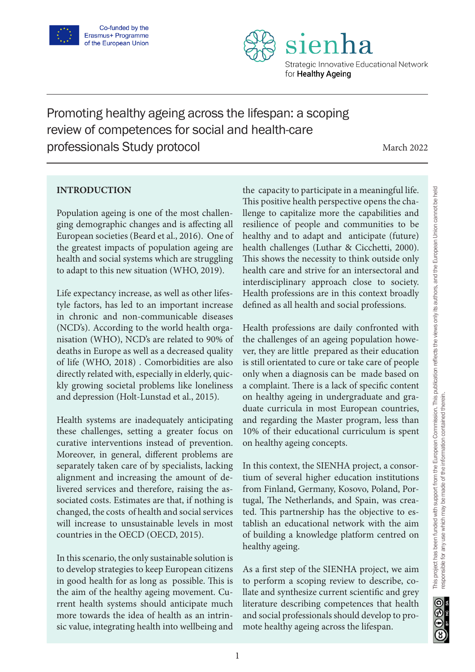



Promoting healthy ageing across the lifespan: a scoping review of competences for social and health-care professionals Study protocol

March 2022

# **INTRODUCTION**

Population ageing is one of the most challenging demographic changes and is affecting all European societies (Beard et al., 2016). One of the greatest impacts of population ageing are health and social systems which are struggling to adapt to this new situation (WHO, 2019).

Life expectancy increase, as well as other lifestyle factors, has led to an important increase in chronic and non-communicable diseases (NCD's). According to the world health organisation (WHO), NCD's are related to 90% of deaths in Europe as well as a decreased quality of life (WHO, 2018) . Comorbidities are also directly related with, especially in elderly, quickly growing societal problems like loneliness and depression (Holt-Lunstad et al., 2015).

Health systems are inadequately anticipating these challenges, setting a greater focus on curative interventions instead of prevention. Moreover, in general, different problems are separately taken care of by specialists, lacking alignment and increasing the amount of delivered services and therefore, raising the associated costs. Estimates are that, if nothing is changed, the costs of health and social services will increase to unsustainable levels in most countries in the OECD (OECD, 2015).

In this scenario, the only sustainable solution is to develop strategies to keep European citizens in good health for as long as possible. This is the aim of the healthy ageing movement. Current health systems should anticipate much more towards the idea of health as an intrinsic value, integrating health into wellbeing and the capacity to participate in a meaningful life. This positive health perspective opens the challenge to capitalize more the capabilities and resilience of people and communities to be healthy and to adapt and anticipate (future) health challenges (Luthar & Cicchetti, 2000). This shows the necessity to think outside only health care and strive for an intersectoral and interdisciplinary approach close to society. Health professions are in this context broadly defined as all health and social professions.

Health professions are daily confronted with the challenges of an ageing population however, they are little prepared as their education is still orientated to cure or take care of people only when a diagnosis can be made based on a complaint. There is a lack of specific content on healthy ageing in undergraduate and graduate curricula in most European countries, and regarding the Master program, less than 10% of their educational curriculum is spent on healthy ageing concepts.

In this context, the SIENHA project, a consortium of several higher education institutions from Finland, Germany, Kosovo, Poland, Portugal, The Netherlands, and Spain, was created. This partnership has the objective to establish an educational network with the aim of building a knowledge platform centred on healthy ageing.

As a first step of the SIENHA project, we aim to perform a scoping review to describe, collate and synthesize current scientific and grey literature describing competences that health and social professionals should develop to promote healthy ageing across the lifespan.

 $\odot$  $960$ 

1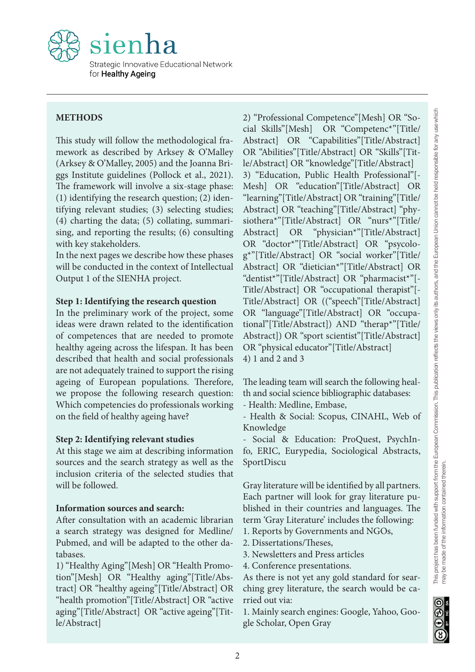

# **METHODS**

This study will follow the methodological framework as described by Arksey & O'Malley (Arksey & O'Malley, 2005) and the Joanna Briggs Institute guidelines (Pollock et al., 2021). The framework will involve a six-stage phase: (1) identifying the research question; (2) identifying relevant studies; (3) selecting studies; (4) charting the data; (5) collating, summarising, and reporting the results; (6) consulting with key stakeholders.

In the next pages we describe how these phases will be conducted in the context of Intellectual Output 1 of the SIENHA project.

#### **Step 1: Identifying the research question**

In the preliminary work of the project, some ideas were drawn related to the identification of competences that are needed to promote healthy ageing across the lifespan. It has been described that health and social professionals are not adequately trained to support the rising ageing of European populations. Therefore, we propose the following research question: Which competencies do professionals working on the field of healthy ageing have?

#### **Step 2: Identifying relevant studies**

At this stage we aim at describing information sources and the search strategy as well as the inclusion criteria of the selected studies that will be followed.

#### **Information sources and search:**

After consultation with an academic librarian a search strategy was designed for Medline/ Pubmed, and will be adapted to the other databases.

1) "Healthy Aging"[Mesh] OR "Health Promotion"[Mesh] OR "Healthy aging"[Title/Abstract] OR "healthy ageing"[Title/Abstract] OR "health promotion"[Title/Abstract] OR "active aging"[Title/Abstract] OR "active ageing"[Title/Abstract]

2) "Professional Competence"[Mesh] OR "Social Skills"[Mesh] OR "Competenc\*"[Title/ Abstract] OR "Capabilities"[Title/Abstract] OR "Abilities"[Title/Abstract] OR "Skills"[Title/Abstract] OR "knowledge"[Title/Abstract] 3) "Education, Public Health Professional"[- Mesh] OR "education"[Title/Abstract] OR "learning"[Title/Abstract] OR "training"[Title/ Abstract] OR "teaching"[Title/Abstract] "physiothera\*"[Title/Abstract] OR "nurs\*"[Title/ Abstract] OR "physician\*"[Title/Abstract] OR "doctor\*"[Title/Abstract] OR "psycolog\*"[Title/Abstract] OR "social worker"[Title/ Abstract] OR "dietician\*"[Title/Abstract] OR "dentist\*"[Title/Abstract] OR "pharmacist\*"[- Title/Abstract] OR "occupational therapist"[- Title/Abstract] OR (("speech"[Title/Abstract] OR "language"[Title/Abstract] OR "occupational"[Title/Abstract]) AND "therap\*"[Title/ Abstract]) OR "sport scientist"[Title/Abstract] OR "physical educator"[Title/Abstract] 4) 1 and 2 and 3 2) "Professional Competence"|Mesh] OR "So-<br>
cal Skilis"|Vitelsh] OR "Competence"|Thefe) Competence"<br>
Abstract] OR "Capabiblitics"<br>
Title/Abstract] and Competence"<br>
OR "Capabiblitics"[Title/Abstract] and<br>
Le/Abstract] OR "

The leading team will search the following health and social science bibliographic databases:

- Health: Medline, Embase,

- Health & Social: Scopus, CINAHL, Web of Knowledge

- Social & Education: ProQuest, PsychInfo, ERIC, Eurypedia, Sociological Abstracts, SportDiscu

Gray literature will be identified by all partners. Each partner will look for gray literature published in their countries and languages. The term 'Gray Literature' includes the following: 1. Reports by Governments and NGOs,

2. Dissertations/Theses,

3. Newsletters and Press articles

4. Conference presentations.

As there is not yet any gold standard for searching grey literature, the search would be carried out via:

1. Mainly search engines: Google, Yahoo, Google Scholar, Open Gray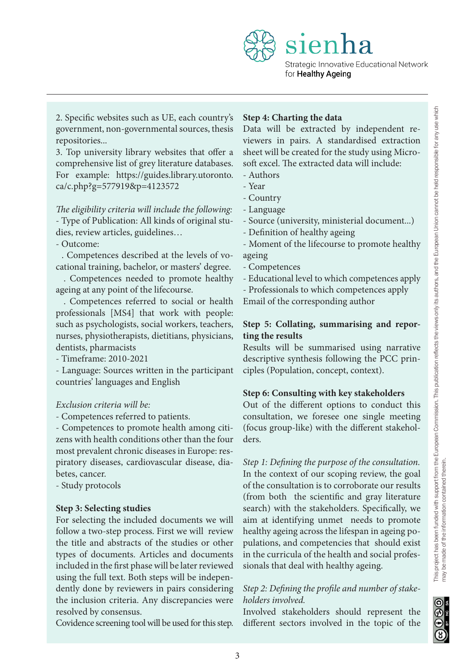Strategic Innovative Educational Network for **Healthy Ageing** 

2. Specific websites such as UE, each country's government, non-governmental sources, thesis repositories...

3. Top university library websites that offer a comprehensive list of grey literature databases. For example: https://guides.library.utoronto. ca/c.php?g=577919&p=4123572

*The eligibility criteria will include the following:* - Type of Publication: All kinds of original studies, review articles, guidelines…

- Outcome:

. Competences described at the levels of vocational training, bachelor, or masters' degree.

 . Competences needed to promote healthy ageing at any point of the lifecourse.

 . Competences referred to social or health professionals [MS4] that work with people: such as psychologists, social workers, teachers, nurses, physiotherapists, dietitians, physicians, dentists, pharmacists

- Timeframe: 2010-2021

- Language: Sources written in the participant countries' languages and English

### *Exclusion criteria will be:*

- Competences referred to patients.

- Competences to promote health among citizens with health conditions other than the four most prevalent chronic diseases in Europe: respiratory diseases, cardiovascular disease, diabetes, cancer.

- Study protocols

### **Step 3: Selecting studies**

For selecting the included documents we will follow a two-step process. First we will review the title and abstracts of the studies or other types of documents. Articles and documents included in the first phase will be later reviewed using the full text. Both steps will be independently done by reviewers in pairs considering the inclusion criteria. Any discrepancies were resolved by consensus.

Covidence screening tool will be used for this step.

### **Step 4: Charting the data**

sien

Data will be extracted by independent reviewers in pairs. A standardised extraction sheet will be created for the study using Microsoft excel. The extracted data will include:

- Authors
- Year
- Country
- Language
- Source (university, ministerial document...)
- Definition of healthy ageing

- Moment of the lifecourse to promote healthy ageing

- Competences

- Educational level to which competences apply

- Professionals to which competences apply

Email of the corresponding author

### **Step 5: Collating, summarising and reporting the results**

Results will be summarised using narrative descriptive synthesis following the PCC principles (Population, concept, context).

### **Step 6: Consulting with key stakeholders**

Out of the different options to conduct this consultation, we foresee one single meeting (focus group-like) with the different stakeholders.

*Step 1: Defining the purpose of the consultation.*  In the context of our scoping review, the goal of the consultation is to corroborate our results (from both the scientific and gray literature search) with the stakeholders. Specifically, we aim at identifying unmet needs to promote healthy ageing across the lifespan in ageing populations, and competencies that should exist in the curricula of the health and social professionals that deal with healthy ageing.

# *Step 2: Defining the profile and number of stakeholders involved.*

Involved stakeholders should represent the different sectors involved in the topic of the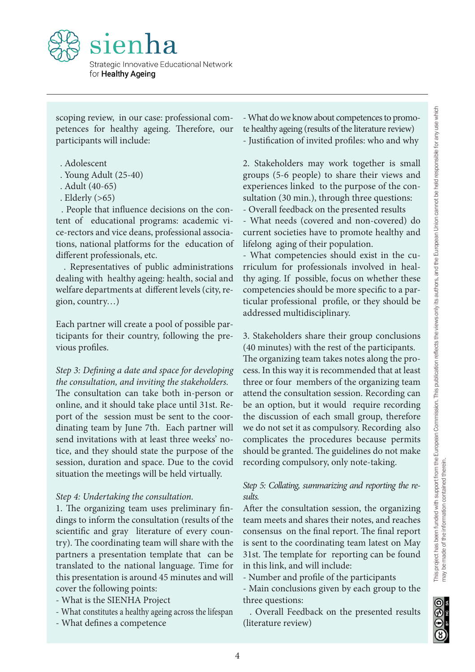

scoping review, in our case: professional competences for healthy ageing. Therefore, our participants will include:

- . Adolescent
- . Young Adult (25-40)
- . Adult (40-65)
- . Elderly (>65)

 . People that influence decisions on the content of educational programs: academic vice-rectors and vice deans, professional associations, national platforms for the education of different professionals, etc.

 . Representatives of public administrations dealing with healthy ageing: health, social and welfare departments at different levels (city, region, country…)

Each partner will create a pool of possible participants for their country, following the previous profiles.

# *Step 3: Defining a date and space for developing the consultation, and inviting the stakeholders.*

The consultation can take both in-person or online, and it should take place until 31st. Report of the session must be sent to the coordinating team by June 7th. Each partner will send invitations with at least three weeks' notice, and they should state the purpose of the session, duration and space. Due to the covid situation the meetings will be held virtually.

#### *Step 4: Undertaking the consultation.*

1. The organizing team uses preliminary findings to inform the consultation (results of the scientific and gray literature of every country). The coordinating team will share with the partners a presentation template that can be translated to the national language. Time for this presentation is around 45 minutes and will cover the following points:

- What is the SIENHA Project
- What constitutes a healthy ageing across the lifespan
- What defines a competence

- What do we know about competences to promote healthy ageing (results of the literature review) - Justification of invited profiles: who and why

2. Stakeholders may work together is small groups (5-6 people) to share their views and experiences linked to the purpose of the consultation (30 min.), through three questions: - Overall feedback on the presented results

- What needs (covered and non-covered) do current societies have to promote healthy and lifelong aging of their population.

- What competencies should exist in the curriculum for professionals involved in healthy aging. If possible, focus on whether these competencies should be more specific to a particular professional profile, or they should be addressed multidisciplinary.

3. Stakeholders share their group conclusions (40 minutes) with the rest of the participants.

The organizing team takes notes along the process. In this way it is recommended that at least three or four members of the organizing team attend the consultation session. Recording can be an option, but it would require recording the discussion of each small group, therefore we do not set it as compulsory. Recording also complicates the procedures because permits should be granted. The guidelines do not make recording compulsory, only note-taking. - What do we know about competences to promo-<br>
te healthy ageing (results of the literature review)<br>  $\frac{5}{2}$  Justification of invited profiles: who and why<br>  $\frac{5}{2}$  Stakeholders may work together is small<br>
groups (5-6

#### *Step 5: Collating, summarizing and reporting the results.*

After the consultation session, the organizing team meets and shares their notes, and reaches consensus on the final report. The final report is sent to the coordinating team latest on May 31st. The template for reporting can be found in this link, and will include:

- Number and profile of the participants

- Main conclusions given by each group to the three questions:

 . Overall Feedback on the presented results (literature review)